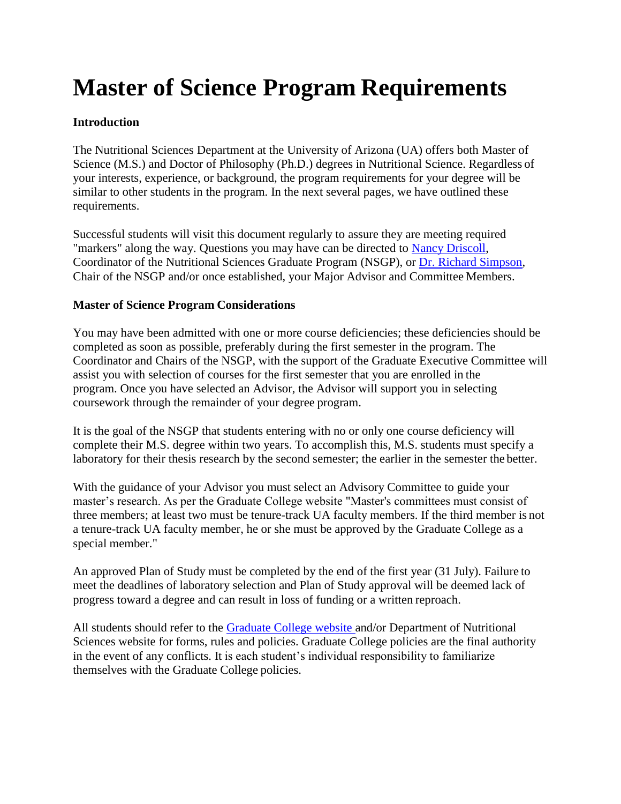# **Master of Science Program Requirements**

# **Introduction**

The Nutritional Sciences Department at the University of Arizona (UA) offers both Master of Science (M.S.) and Doctor of Philosophy (Ph.D.) degrees in Nutritional Science. Regardless of your interests, experience, or background, the program requirements for your degree will be similar to other students in the program. In the next several pages, we have outlined these requirements.

Successful students will visit this document regularly to assure they are meeting required "markers" along the way. Questions you may have can be directed to [Nancy Driscoll,](https://nutrition.cals.arizona.edu/people/nancy-driscoll-ms-rd) Coordinator of the Nutritional Sciences Graduate Program (NSGP), or [Dr. Richard Simpson,](https://nutrition.cals.arizona.edu/people/richard-simpson-phd) Chair of the NSGP and/or once established, your Major Advisor and Committee Members.

# **Master of Science Program Considerations**

You may have been admitted with one or more course deficiencies; these deficiencies should be completed as soon as possible, preferably during the first semester in the program. The Coordinator and Chairs of the NSGP, with the support of the Graduate Executive Committee will assist you with selection of courses for the first semester that you are enrolled in the program. Once you have selected an Advisor, the Advisor will support you in selecting coursework through the remainder of your degree program.

It is the goal of the NSGP that students entering with no or only one course deficiency will complete their M.S. degree within two years. To accomplish this, M.S. students must specify a laboratory for their thesis research by the second semester; the earlier in the semester the better.

With the guidance of your Advisor you must select an Advisory Committee to guide your master's research. As per the Graduate College website "Master's committees must consist of three members; at least two must be tenure-track UA faculty members. If the third member is not a tenure-track UA faculty member, he or she must be approved by the Graduate College as a special member."

An approved Plan of Study must be completed by the end of the first year (31 July). Failure to meet the deadlines of laboratory selection and Plan of Study approval will be deemed lack of progress toward a degree and can result in loss of funding or a written reproach.

All students should refer to the [Graduate College website a](http://www.grad.arizona.edu/)nd/or Department of Nutritional Sciences website for forms, rules and policies. Graduate College policies are the final authority in the event of any conflicts. It is each student's individual responsibility to familiarize themselves with the Graduate College policies.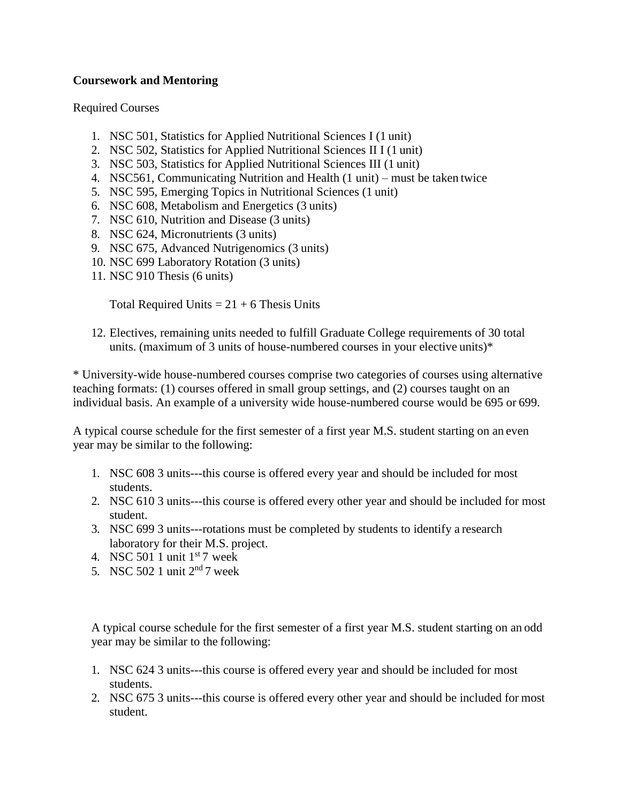#### **Coursework and Mentoring**

Required Courses

- 1. NSC 501, Statistics for Applied Nutritional Sciences I (1 unit)
- 2. NSC 502, Statistics for Applied Nutritional Sciences II I (1 unit)
- 3. NSC 503, Statistics for Applied Nutritional Sciences III (1 unit)
- 4. NSC561, Communicating Nutrition and Health (1 unit) must be taken twice
- 5. NSC 595, Emerging Topics in Nutritional Sciences (1 unit)
- 6. NSC 608, Metabolism and Energetics (3 units)
- 7. NSC 610, Nutrition and Disease (3 units)
- 8. NSC 624, Micronutrients (3 units)
- 9. NSC 675, Advanced Nutrigenomics (3 units)
- 10. NSC 699 Laboratory Rotation (3 units)
- 11. NSC 910 Thesis (6 units)

Total Required Units  $= 21 + 6$  Thesis Units

12. Electives, remaining units needed to fulfill Graduate College requirements of 30 total units. (maximum of 3 units of house-numbered courses in your elective units)\*

\* University-wide house-numbered courses comprise two categories of courses using alternative teaching formats: (1) courses offered in small group settings, and (2) courses taught on an individual basis. An example of a university wide house-numbered course would be 695 or 699.

A typical course schedule for the first semester of a first year M.S. student starting on an even year may be similar to the following:

- 1. NSC 608 3 units---this course is offered every year and should be included for most students.
- 2. NSC 610 3 units---this course is offered every other year and should be included for most student.
- 3. NSC 699 3 units---rotations must be completed by students to identify a research laboratory for their M.S. project.
- 4. NSC 501 1 unit  $1<sup>st</sup>$ 7 week
- 5. NSC 502 1 unit  $2<sup>nd</sup>$  7 week

A typical course schedule for the first semester of a first year M.S. student starting on an odd year may be similar to the following:

- 1. NSC 624 3 units---this course is offered every year and should be included for most students.
- 2. NSC 675 3 units---this course is offered every other year and should be included for most student.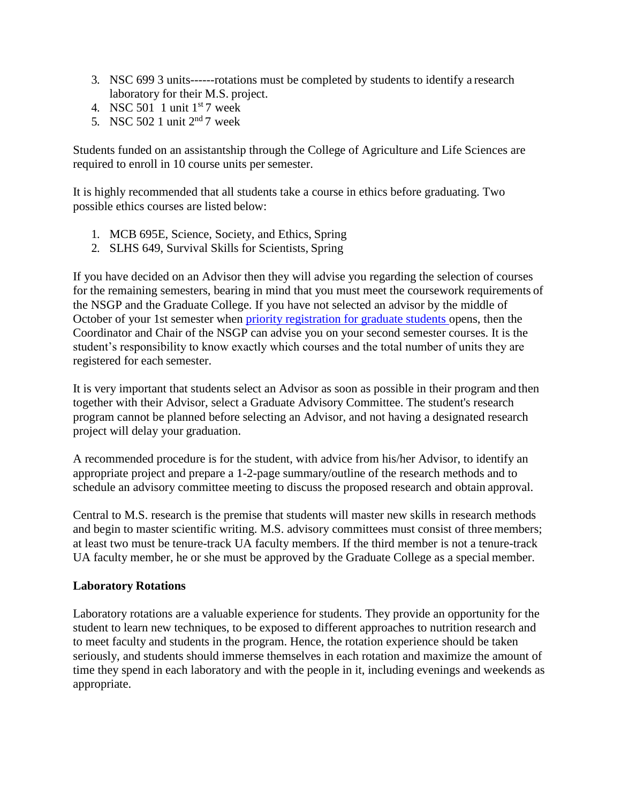- 3. NSC 699 3 units------rotations must be completed by students to identify a research laboratory for their M.S. project.
- 4. NSC 501 1 unit  $1<sup>st</sup>7$  week
- 5. NSC 502 1 unit  $2<sup>nd</sup>$  7 week

Students funded on an assistantship through the College of Agriculture and Life Sciences are required to enroll in 10 course units per semester.

It is highly recommended that all students take a course in ethics before graduating. Two possible ethics courses are listed below:

- 1. MCB 695E, Science, Society, and Ethics, Spring
- 2. SLHS 649, Survival Skills for Scientists, Spring

If you have decided on an Advisor then they will advise you regarding the selection of courses for the remaining semesters, bearing in mind that you must meet the coursework requirements of the NSGP and the Graduate College. If you have not selected an advisor by the middle of October of your 1st semester when [priority registration for graduate students o](http://registrar.arizona.edu/schedules/general.htm)pens, then the Coordinator and Chair of the NSGP can advise you on your second semester courses. It is the student's responsibility to know exactly which courses and the total number of units they are registered for each semester.

It is very important that students select an Advisor as soon as possible in their program and then together with their Advisor, select a Graduate Advisory Committee. The student's research program cannot be planned before selecting an Advisor, and not having a designated research project will delay your graduation.

A recommended procedure is for the student, with advice from his/her Advisor, to identify an appropriate project and prepare a 1-2-page summary/outline of the research methods and to schedule an advisory committee meeting to discuss the proposed research and obtain approval.

Central to M.S. research is the premise that students will master new skills in research methods and begin to master scientific writing. M.S. advisory committees must consist of three members; at least two must be tenure-track UA faculty members. If the third member is not a tenure-track UA faculty member, he or she must be approved by the Graduate College as a special member.

#### **Laboratory Rotations**

Laboratory rotations are a valuable experience for students. They provide an opportunity for the student to learn new techniques, to be exposed to different approaches to nutrition research and to meet faculty and students in the program. Hence, the rotation experience should be taken seriously, and students should immerse themselves in each rotation and maximize the amount of time they spend in each laboratory and with the people in it, including evenings and weekends as appropriate.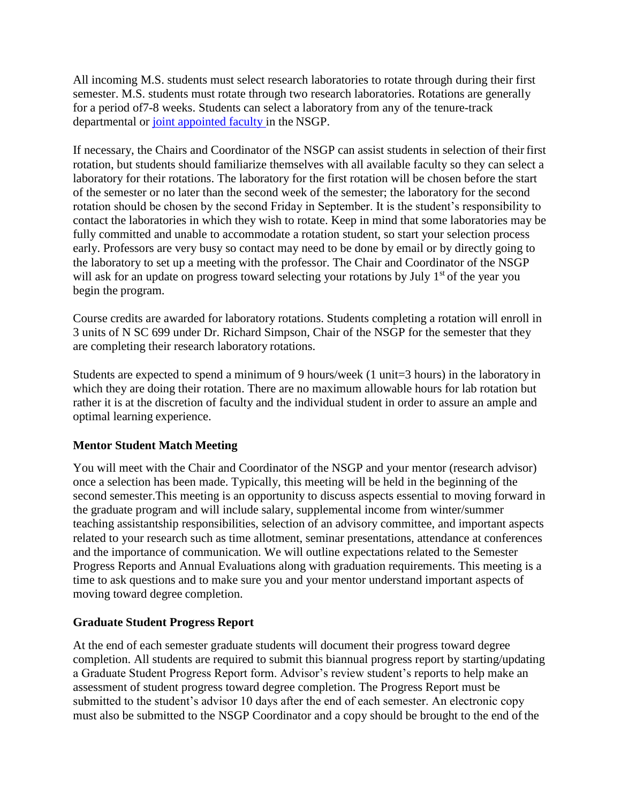All incoming M.S. students must select research laboratories to rotate through during their first semester. M.S. students must rotate through two research laboratories. Rotations are generally for a period of7-8 weeks. Students can select a laboratory from any of the tenure-track departmental or [joint appointed faculty i](http://nutrition.cals.arizona.edu/people/joint-appointees)n the NSGP.

If necessary, the Chairs and Coordinator of the NSGP can assist students in selection of their first rotation, but students should familiarize themselves with all available faculty so they can select a laboratory for their rotations. The laboratory for the first rotation will be chosen before the start of the semester or no later than the second week of the semester; the laboratory for the second rotation should be chosen by the second Friday in September. It is the student's responsibility to contact the laboratories in which they wish to rotate. Keep in mind that some laboratories may be fully committed and unable to accommodate a rotation student, so start your selection process early. Professors are very busy so contact may need to be done by email or by directly going to the laboratory to set up a meeting with the professor. The Chair and Coordinator of the NSGP will ask for an update on progress toward selecting your rotations by July  $1<sup>st</sup>$  of the year you begin the program.

Course credits are awarded for laboratory rotations. Students completing a rotation will enroll in 3 units of N SC 699 under Dr. Richard Simpson, Chair of the NSGP for the semester that they are completing their research laboratory rotations.

Students are expected to spend a minimum of 9 hours/week (1 unit=3 hours) in the laboratory in which they are doing their rotation. There are no maximum allowable hours for lab rotation but rather it is at the discretion of faculty and the individual student in order to assure an ample and optimal learning experience.

# **Mentor Student Match Meeting**

You will meet with the Chair and Coordinator of the NSGP and your mentor (research advisor) once a selection has been made. Typically, this meeting will be held in the beginning of the second semester.This meeting is an opportunity to discuss aspects essential to moving forward in the graduate program and will include salary, supplemental income from winter/summer teaching assistantship responsibilities, selection of an advisory committee, and important aspects related to your research such as time allotment, seminar presentations, attendance at conferences and the importance of communication. We will outline expectations related to the Semester Progress Reports and Annual Evaluations along with graduation requirements. This meeting is a time to ask questions and to make sure you and your mentor understand important aspects of moving toward degree completion.

# **Graduate Student Progress Report**

At the end of each semester graduate students will document their progress toward degree completion. All students are required to submit this biannual progress report by starting/updating a Graduate Student Progress Report form. Advisor's review student's reports to help make an assessment of student progress toward degree completion. The Progress Report must be submitted to the student's advisor 10 days after the end of each semester. An electronic copy must also be submitted to the NSGP Coordinator and a copy should be brought to the end of the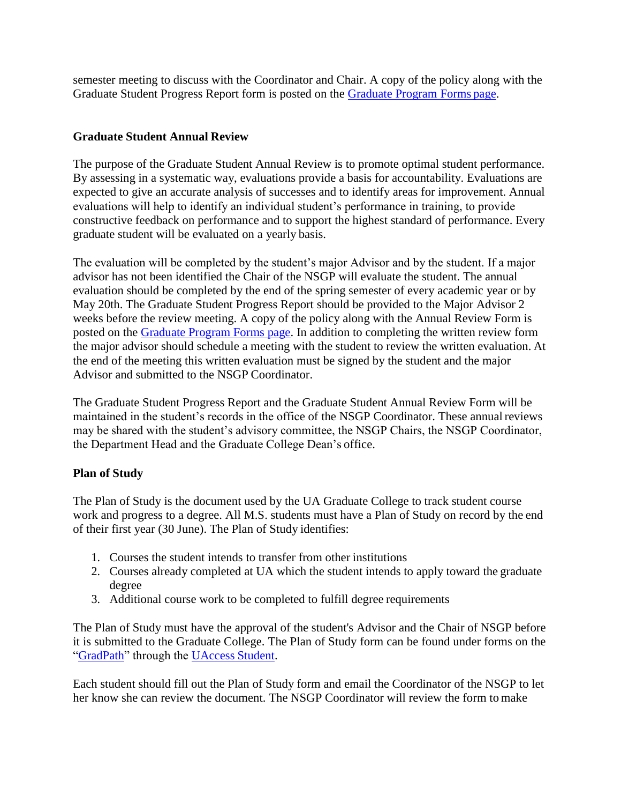semester meeting to discuss with the Coordinator and Chair. A copy of the policy along with the Graduate Student Progress Report form is posted on the [Graduate Program Forms](http://nutrition.cals.arizona.edu/graduate-program-forms) page.

# **Graduate Student Annual Review**

The purpose of the Graduate Student Annual Review is to promote optimal student performance. By assessing in a systematic way, evaluations provide a basis for accountability. Evaluations are expected to give an accurate analysis of successes and to identify areas for improvement. Annual evaluations will help to identify an individual student's performance in training, to provide constructive feedback on performance and to support the highest standard of performance. Every graduate student will be evaluated on a yearly basis.

The evaluation will be completed by the student's major Advisor and by the student. If a major advisor has not been identified the Chair of the NSGP will evaluate the student. The annual evaluation should be completed by the end of the spring semester of every academic year or by May 20th. The Graduate Student Progress Report should be provided to the Major Advisor 2 weeks before the review meeting. A copy of the policy along with the Annual Review Form is posted on the [Graduate Program Forms page.](http://nutrition.cals.arizona.edu/graduate-program-forms) In addition to completing the written review form the major advisor should schedule a meeting with the student to review the written evaluation. At the end of the meeting this written evaluation must be signed by the student and the major Advisor and submitted to the NSGP Coordinator.

The Graduate Student Progress Report and the Graduate Student Annual Review Form will be maintained in the student's records in the office of the NSGP Coordinator. These annualreviews may be shared with the student's advisory committee, the NSGP Chairs, the NSGP Coordinator, the Department Head and the Graduate College Dean's office.

# **Plan of Study**

The Plan of Study is the document used by the UA Graduate College to track student course work and progress to a degree. All M.S. students must have a Plan of Study on record by the end of their first year (30 June). The Plan of Study identifies:

- 1. Courses the student intends to transfer from other institutions
- 2. Courses already completed at UA which the student intends to apply toward the graduate degree
- 3. Additional course work to be completed to fulfill degree requirements

The Plan of Study must have the approval of the student's Advisor and the Chair of NSGP before it is submitted to the Graduate College. The Plan of Study form can be found under forms on the ["GradPath"](http://grad.arizona.edu/gsas/gradpath) through the [UAccess](https://uaccess.arizona.edu/) Student.

Each student should fill out the Plan of Study form and email the Coordinator of the NSGP to let her know she can review the document. The NSGP Coordinator will review the form to make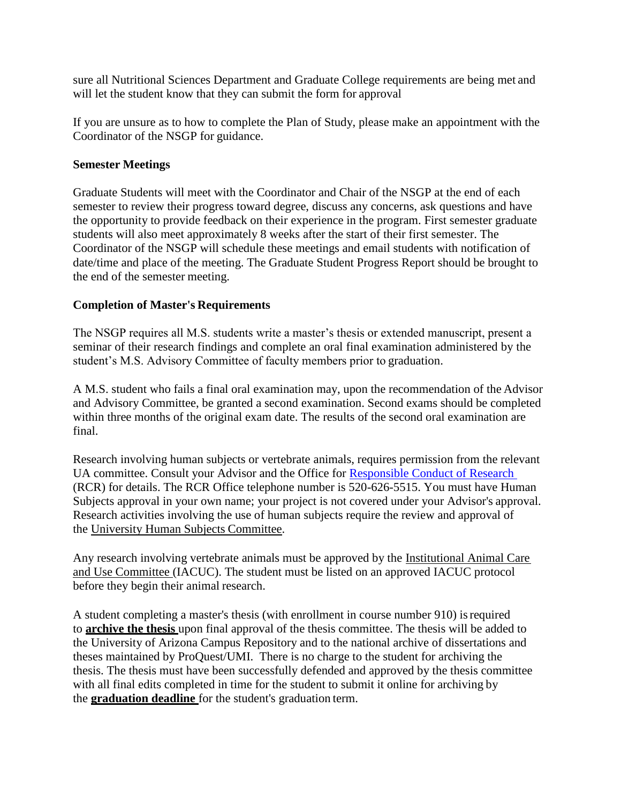sure all Nutritional Sciences Department and Graduate College requirements are being met and will let the student know that they can submit the form for approval

If you are unsure as to how to complete the Plan of Study, please make an appointment with the Coordinator of the NSGP for guidance.

#### **Semester Meetings**

Graduate Students will meet with the Coordinator and Chair of the NSGP at the end of each semester to review their progress toward degree, discuss any concerns, ask questions and have the opportunity to provide feedback on their experience in the program. First semester graduate students will also meet approximately 8 weeks after the start of their first semester. The Coordinator of the NSGP will schedule these meetings and email students with notification of date/time and place of the meeting. The Graduate Student Progress Report should be brought to the end of the semester meeting.

#### **Completion of Master's Requirements**

The NSGP requires all M.S. students write a master's thesis or extended manuscript, present a seminar of their research findings and complete an oral final examination administered by the student's M.S. Advisory Committee of faculty members prior to graduation.

A M.S. student who fails a final oral examination may, upon the recommendation of the Advisor and Advisory Committee, be granted a second examination. Second exams should be completed within three months of the original exam date. The results of the second oral examination are final.

Research involving human subjects or vertebrate animals, requires permission from the relevant UA committee. Consult your Advisor and the Office for [Responsible Conduct of Research](https://rgw.arizona.edu/compliance/home)  (RCR) for details. The RCR Office telephone number is 520-626-5515. You must have Human Subjects approval in your own name; your project is not covered under your Advisor's approval. Research activities involving the use of human subjects require the review and approval of the [University Human Subjects](http://orcr.arizona.edu/hspp) Committee.

Any research involving vertebrate animals must be approved by the [Institutional Animal Care](http://orcr.arizona.edu/IACUC)  [and Use Committee \(](http://orcr.arizona.edu/IACUC)IACUC). The student must be listed on an approved IACUC protocol before they begin their animal research.

A student completing a master's thesis (with enrollment in course number 910) isrequired to **[archive the thesis](https://grad.arizona.edu/gsas/dissertaions-theses/submitting-and-archiving-your-thesis)** upon final approval of the thesis committee. The thesis will be added to the University of Arizona Campus Repository and to the national archive of dissertations and theses maintained by ProQuest/UMI. There is no charge to the student for archiving the thesis. The thesis must have been successfully defended and approved by the thesis committee with all final edits completed in time for the student to submit it online for archiving by the **[graduation deadline](https://grad.arizona.edu/gsas/degree-requirements/important-degree-dates-and-deadlines)** for the student's graduation term.